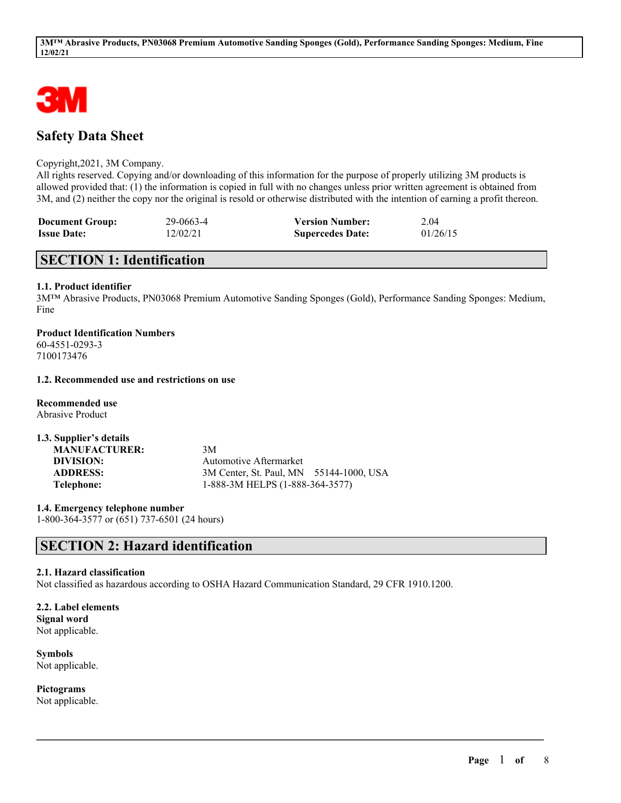

# **Safety Data Sheet**

### Copyright,2021, 3M Company.

All rights reserved. Copying and/or downloading of this information for the purpose of properly utilizing 3M products is allowed provided that: (1) the information is copied in full with no changes unless prior written agreement is obtained from 3M, and (2) neither the copy nor the original is resold or otherwise distributed with the intention of earning a profit thereon.

| <b>Document Group:</b> | 29-0663-4 | <b>Version Number:</b>  | 2.04     |
|------------------------|-----------|-------------------------|----------|
| <b>Issue Date:</b>     | 12/02/21  | <b>Supercedes Date:</b> | 01/26/15 |

## **SECTION 1: Identification**

## **1.1. Product identifier**

3M™ Abrasive Products, PN03068 Premium Automotive Sanding Sponges (Gold), Performance Sanding Sponges: Medium, Fine

**Product Identification Numbers** 60-4551-0293-3 7100173476

## **1.2. Recommended use and restrictions on use**

**Recommended use** Abrasive Product

**1.3. Supplier's details**

| <b>MANUFACTURER:</b> | 3M                                      |  |
|----------------------|-----------------------------------------|--|
| DIVISION:            | Automotive Aftermarket                  |  |
| <b>ADDRESS:</b>      | 3M Center, St. Paul, MN 55144-1000, USA |  |
| Telephone:           | 1-888-3M HELPS (1-888-364-3577)         |  |

**1.4. Emergency telephone number** 1-800-364-3577 or (651) 737-6501 (24 hours)

# **SECTION 2: Hazard identification**

## **2.1. Hazard classification**

Not classified as hazardous according to OSHA Hazard Communication Standard, 29 CFR 1910.1200.

 $\mathcal{L}_\mathcal{L} = \mathcal{L}_\mathcal{L} = \mathcal{L}_\mathcal{L} = \mathcal{L}_\mathcal{L} = \mathcal{L}_\mathcal{L} = \mathcal{L}_\mathcal{L} = \mathcal{L}_\mathcal{L} = \mathcal{L}_\mathcal{L} = \mathcal{L}_\mathcal{L} = \mathcal{L}_\mathcal{L} = \mathcal{L}_\mathcal{L} = \mathcal{L}_\mathcal{L} = \mathcal{L}_\mathcal{L} = \mathcal{L}_\mathcal{L} = \mathcal{L}_\mathcal{L} = \mathcal{L}_\mathcal{L} = \mathcal{L}_\mathcal{L}$ 

**2.2. Label elements Signal word** Not applicable.

**Symbols** Not applicable.

**Pictograms** Not applicable.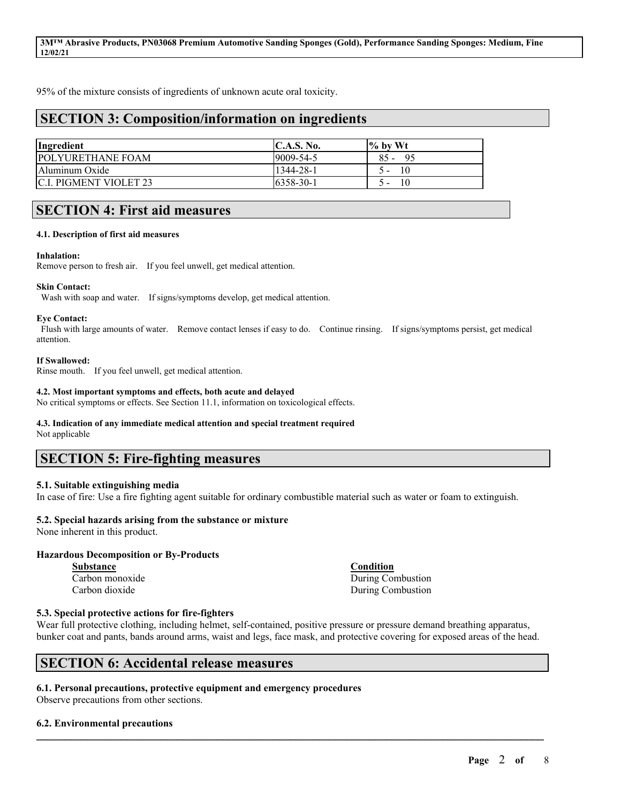95% of the mixture consists of ingredients of unknown acute oral toxicity.

# **SECTION 3: Composition/information on ingredients**

| Ingredient                     | $\mathbf{C}.\mathbf{A}.\mathbf{S}.\mathbf{No}.$ | $\frac{1}{6}$ by Wt |
|--------------------------------|-------------------------------------------------|---------------------|
| <b>POLYURETHANE FOAM</b>       | $19009 - 54 - 5$                                | $85 -$<br>- 95      |
| Aluminum Oxide                 | 1344-28-1                                       | 10<br>$\mathcal{L}$ |
| <b>IC.I. PIGMENT VIOLET 23</b> | $16358 - 30 - 1$                                | 10<br>ົ-            |

## **SECTION 4: First aid measures**

#### **4.1. Description of first aid measures**

#### **Inhalation:**

Remove person to fresh air. If you feel unwell, get medical attention.

#### **Skin Contact:**

Wash with soap and water. If signs/symptoms develop, get medical attention.

#### **Eye Contact:**

Flush with large amounts of water. Remove contact lenses if easy to do. Continue rinsing. If signs/symptoms persist, get medical attention.

#### **If Swallowed:**

Rinse mouth. If you feel unwell, get medical attention.

#### **4.2. Most important symptoms and effects, both acute and delayed**

No critical symptoms or effects. See Section 11.1, information on toxicological effects.

#### **4.3. Indication of any immediate medical attention and special treatment required**

Not applicable

# **SECTION 5: Fire-fighting measures**

#### **5.1. Suitable extinguishing media**

In case of fire: Use a fire fighting agent suitable for ordinary combustible material such as water or foam to extinguish.

## **5.2. Special hazards arising from the substance or mixture**

None inherent in this product.

#### **Hazardous Decomposition or By-Products**

**Substance Condition**

Carbon monoxide During Combustion Carbon dioxide During Combustion

#### **5.3. Special protective actions for fire-fighters**

Wear full protective clothing, including helmet, self-contained, positive pressure or pressure demand breathing apparatus, bunker coat and pants, bands around arms, waist and legs, face mask, and protective covering for exposed areas of the head.

 $\mathcal{L}_\mathcal{L} = \mathcal{L}_\mathcal{L} = \mathcal{L}_\mathcal{L} = \mathcal{L}_\mathcal{L} = \mathcal{L}_\mathcal{L} = \mathcal{L}_\mathcal{L} = \mathcal{L}_\mathcal{L} = \mathcal{L}_\mathcal{L} = \mathcal{L}_\mathcal{L} = \mathcal{L}_\mathcal{L} = \mathcal{L}_\mathcal{L} = \mathcal{L}_\mathcal{L} = \mathcal{L}_\mathcal{L} = \mathcal{L}_\mathcal{L} = \mathcal{L}_\mathcal{L} = \mathcal{L}_\mathcal{L} = \mathcal{L}_\mathcal{L}$ 

## **SECTION 6: Accidental release measures**

#### **6.1. Personal precautions, protective equipment and emergency procedures** Observe precautions from other sections.

#### **6.2. Environmental precautions**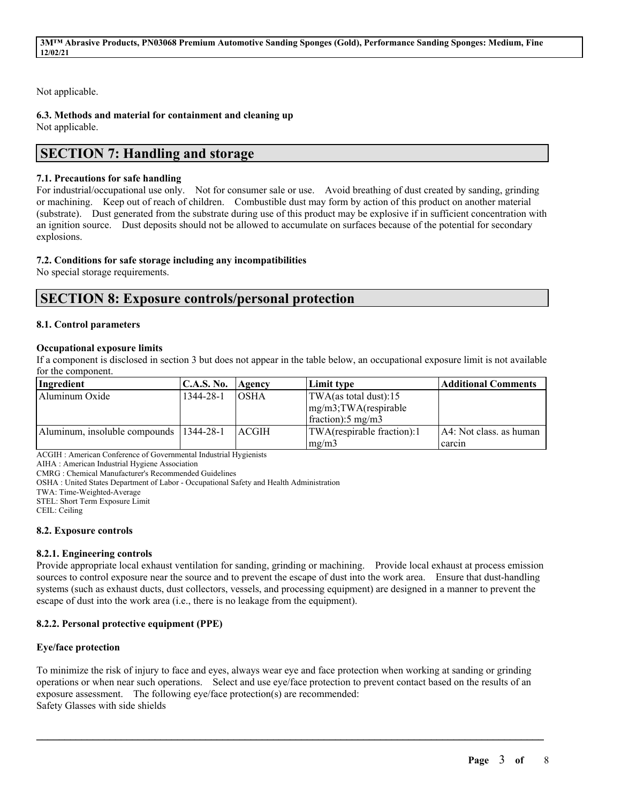Not applicable.

**6.3. Methods and material for containment and cleaning up**

Not applicable.

# **SECTION 7: Handling and storage**

## **7.1. Precautions for safe handling**

For industrial/occupational use only. Not for consumer sale or use. Avoid breathing of dust created by sanding, grinding or machining. Keep out of reach of children. Combustible dust may form by action of this product on another material (substrate). Dust generated from the substrate during use of this product may be explosive if in sufficient concentration with an ignition source. Dust deposits should not be allowed to accumulate on surfaces because of the potential for secondary explosions.

## **7.2. Conditions for safe storage including any incompatibilities**

No special storage requirements.

## **SECTION 8: Exposure controls/personal protection**

## **8.1. Control parameters**

## **Occupational exposure limits**

If a component is disclosed in section 3 but does not appear in the table below, an occupational exposure limit is not available for the component.

| Ingredient                                | C.A.S. No. | Agency       | Limit type                      | Additional Comments       |
|-------------------------------------------|------------|--------------|---------------------------------|---------------------------|
| Aluminum Oxide                            | 1344-28-1  | <b>OSHA</b>  | $\text{TWA}$ (as total dust):15 |                           |
|                                           |            |              | $mg/m3$ ; TWA(respirable        |                           |
|                                           |            |              | fraction: $5 \text{ mg/m}$      |                           |
| Aluminum, insoluble compounds   1344-28-1 |            | <b>ACGIH</b> | TWA(respirable fraction):1      | [A4: Not class, as human] |
|                                           |            |              | mg/m3                           | carcin                    |

ACGIH : American Conference of Governmental Industrial Hygienists

AIHA : American Industrial Hygiene Association

CMRG : Chemical Manufacturer's Recommended Guidelines

OSHA : United States Department of Labor - Occupational Safety and Health Administration

TWA: Time-Weighted-Average

STEL: Short Term Exposure Limit

CEIL: Ceiling

## **8.2. Exposure controls**

## **8.2.1. Engineering controls**

Provide appropriate local exhaust ventilation for sanding, grinding or machining. Provide local exhaust at process emission sources to control exposure near the source and to prevent the escape of dust into the work area. Ensure that dust-handling systems (such as exhaust ducts, dust collectors, vessels, and processing equipment) are designed in a manner to prevent the escape of dust into the work area (i.e., there is no leakage from the equipment).

## **8.2.2. Personal protective equipment (PPE)**

## **Eye/face protection**

To minimize the risk of injury to face and eyes, always wear eye and face protection when working at sanding or grinding operations or when near such operations. Select and use eye/face protection to prevent contact based on the results of an exposure assessment. The following eye/face protection(s) are recommended: Safety Glasses with side shields

 $\mathcal{L}_\mathcal{L} = \mathcal{L}_\mathcal{L} = \mathcal{L}_\mathcal{L} = \mathcal{L}_\mathcal{L} = \mathcal{L}_\mathcal{L} = \mathcal{L}_\mathcal{L} = \mathcal{L}_\mathcal{L} = \mathcal{L}_\mathcal{L} = \mathcal{L}_\mathcal{L} = \mathcal{L}_\mathcal{L} = \mathcal{L}_\mathcal{L} = \mathcal{L}_\mathcal{L} = \mathcal{L}_\mathcal{L} = \mathcal{L}_\mathcal{L} = \mathcal{L}_\mathcal{L} = \mathcal{L}_\mathcal{L} = \mathcal{L}_\mathcal{L}$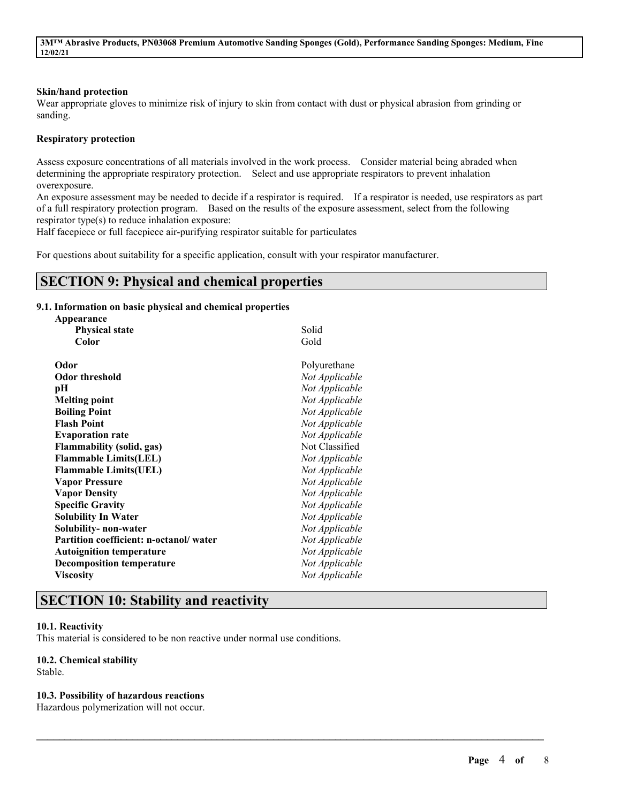#### **Skin/hand protection**

Wear appropriate gloves to minimize risk of injury to skin from contact with dust or physical abrasion from grinding or sanding.

#### **Respiratory protection**

Assess exposure concentrations of all materials involved in the work process. Consider material being abraded when determining the appropriate respiratory protection. Select and use appropriate respirators to prevent inhalation overexposure.

An exposure assessment may be needed to decide if a respirator is required. If a respirator is needed, use respirators as part of a full respiratory protection program. Based on the results of the exposure assessment, select from the following respirator type(s) to reduce inhalation exposure:

 $\mathcal{L}_\mathcal{L} = \mathcal{L}_\mathcal{L} = \mathcal{L}_\mathcal{L} = \mathcal{L}_\mathcal{L} = \mathcal{L}_\mathcal{L} = \mathcal{L}_\mathcal{L} = \mathcal{L}_\mathcal{L} = \mathcal{L}_\mathcal{L} = \mathcal{L}_\mathcal{L} = \mathcal{L}_\mathcal{L} = \mathcal{L}_\mathcal{L} = \mathcal{L}_\mathcal{L} = \mathcal{L}_\mathcal{L} = \mathcal{L}_\mathcal{L} = \mathcal{L}_\mathcal{L} = \mathcal{L}_\mathcal{L} = \mathcal{L}_\mathcal{L}$ 

Half facepiece or full facepiece air-purifying respirator suitable for particulates

For questions about suitability for a specific application, consult with your respirator manufacturer.

## **SECTION 9: Physical and chemical properties**

#### **9.1. Information on basic physical and chemical properties**

| Appearance                             |                |
|----------------------------------------|----------------|
| <b>Physical state</b>                  | Solid          |
| Color                                  | Gold           |
| Odor                                   | Polyurethane   |
| <b>Odor threshold</b>                  | Not Applicable |
| pН                                     | Not Applicable |
| <b>Melting point</b>                   | Not Applicable |
| <b>Boiling Point</b>                   | Not Applicable |
| <b>Flash Point</b>                     | Not Applicable |
| <b>Evaporation rate</b>                | Not Applicable |
| <b>Flammability (solid, gas)</b>       | Not Classified |
| <b>Flammable Limits(LEL)</b>           | Not Applicable |
| <b>Flammable Limits(UEL)</b>           | Not Applicable |
| <b>Vapor Pressure</b>                  | Not Applicable |
| <b>Vapor Density</b>                   | Not Applicable |
| <b>Specific Gravity</b>                | Not Applicable |
| <b>Solubility In Water</b>             | Not Applicable |
| Solubility- non-water                  | Not Applicable |
| Partition coefficient: n-octanol/water | Not Applicable |
| <b>Autoignition temperature</b>        | Not Applicable |
| <b>Decomposition temperature</b>       | Not Applicable |
| <b>Viscosity</b>                       | Not Applicable |
|                                        |                |

# **SECTION 10: Stability and reactivity**

#### **10.1. Reactivity**

This material is considered to be non reactive under normal use conditions.

#### **10.2. Chemical stability**

Stable.

#### **10.3. Possibility of hazardous reactions**

Hazardous polymerization will not occur.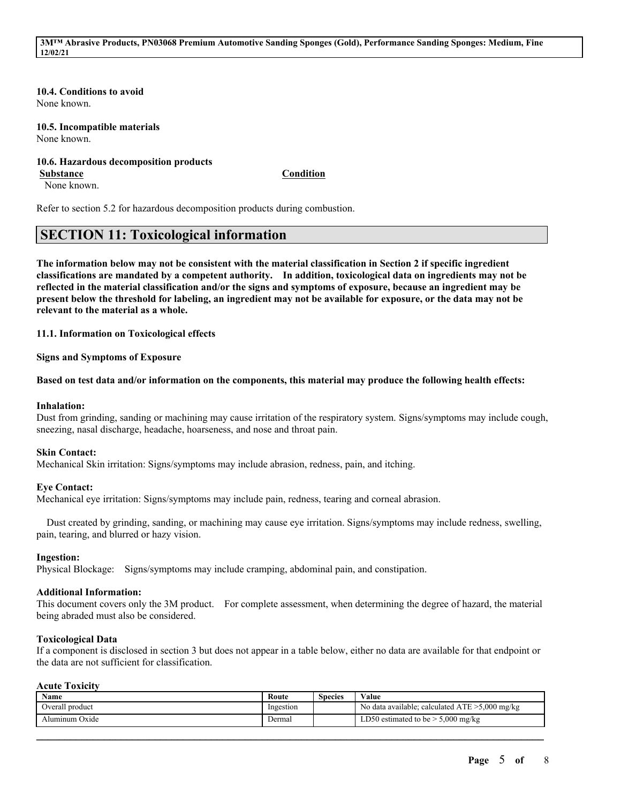#### **10.4. Conditions to avoid**

None known.

#### **10.5. Incompatible materials** None known.

## **10.6. Hazardous decomposition products**

None known.

**Substance Condition**

Refer to section 5.2 for hazardous decomposition products during combustion.

## **SECTION 11: Toxicological information**

The information below may not be consistent with the material classification in Section 2 if specific ingredient **classifications are mandated by a competent authority. In addition, toxicological data on ingredients may not be** reflected in the material classification and/or the signs and symptoms of exposure, because an ingredient may be present below the threshold for labeling, an ingredient may not be available for exposure, or the data may not be **relevant to the material as a whole.**

**11.1. Information on Toxicological effects**

**Signs and Symptoms of Exposure**

#### Based on test data and/or information on the components, this material may produce the following health effects:

#### **Inhalation:**

Dust from grinding, sanding or machining may cause irritation of the respiratory system. Signs/symptoms may include cough, sneezing, nasal discharge, headache, hoarseness, and nose and throat pain.

#### **Skin Contact:**

Mechanical Skin irritation: Signs/symptoms may include abrasion, redness, pain, and itching.

#### **Eye Contact:**

Mechanical eye irritation: Signs/symptoms may include pain, redness, tearing and corneal abrasion.

Dust created by grinding, sanding, or machining may cause eye irritation. Signs/symptoms may include redness, swelling, pain, tearing, and blurred or hazy vision.

#### **Ingestion:**

Physical Blockage: Signs/symptoms may include cramping, abdominal pain, and constipation.

#### **Additional Information:**

This document covers only the 3M product. For complete assessment, when determining the degree of hazard, the material being abraded must also be considered.

#### **Toxicological Data**

If a component is disclosed in section 3 but does not appear in a table below, either no data are available for that endpoint or the data are not sufficient for classification.

### **Acute Toxicity**

| Name            | Route     | Species | Value                                             |
|-----------------|-----------|---------|---------------------------------------------------|
| Overall product | Ingestion |         | No data available; calculated $ATE > 5,000$ mg/kg |
| Aluminum Oxide  | Dermal    |         | LD50 estimated to be $> 5,000$ mg/kg              |

 $\mathcal{L}_\mathcal{L} = \mathcal{L}_\mathcal{L} = \mathcal{L}_\mathcal{L} = \mathcal{L}_\mathcal{L} = \mathcal{L}_\mathcal{L} = \mathcal{L}_\mathcal{L} = \mathcal{L}_\mathcal{L} = \mathcal{L}_\mathcal{L} = \mathcal{L}_\mathcal{L} = \mathcal{L}_\mathcal{L} = \mathcal{L}_\mathcal{L} = \mathcal{L}_\mathcal{L} = \mathcal{L}_\mathcal{L} = \mathcal{L}_\mathcal{L} = \mathcal{L}_\mathcal{L} = \mathcal{L}_\mathcal{L} = \mathcal{L}_\mathcal{L}$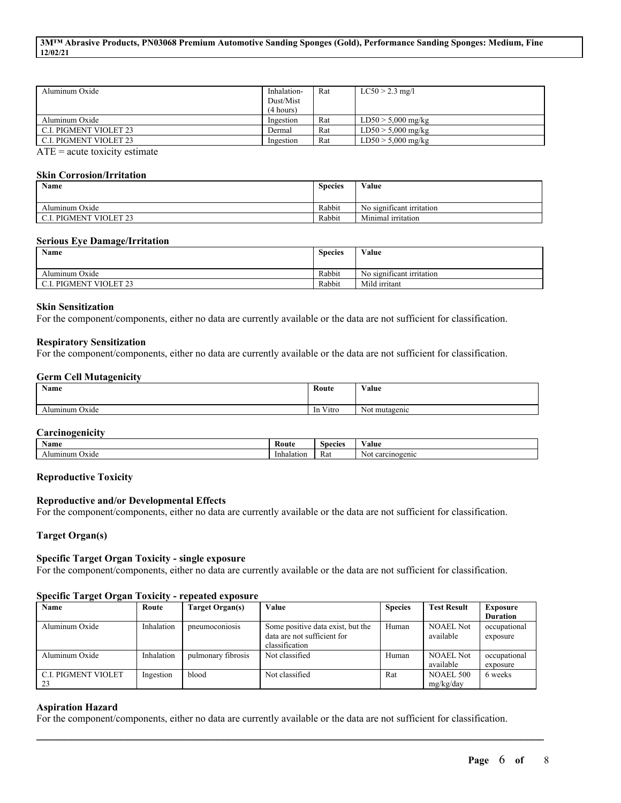| Aluminum Oxide                | Inhalation-<br>Dust/Mist<br>(4 hours) | Rat | $LC50 > 2.3$ mg/l    |
|-------------------------------|---------------------------------------|-----|----------------------|
| Aluminum Oxide                | Ingestion                             | Rat | $LD50 > 5,000$ mg/kg |
| <b>C.I. PIGMENT VIOLET 23</b> | Dermal                                | Rat | $LD50 > 5,000$ mg/kg |
| <b>C.I. PIGMENT VIOLET 23</b> | Ingestion                             | Rat | $LD50 > 5,000$ mg/kg |

 $ATE = acute$  toxicity estimate

#### **Skin Corrosion/Irritation**

| Name                          | <b>Species</b> | Value                     |
|-------------------------------|----------------|---------------------------|
| Aluminum Oxide                | Rabbit         | No significant irritation |
| <b>C.I. PIGMENT VIOLET 23</b> | Rabbit         | Minimal irritation        |

#### **Serious Eye Damage/Irritation**

| <b>Name</b>       | <b>Species</b> | Value                     |
|-------------------|----------------|---------------------------|
| Aluminum Oxide    | Rabbit         | No significant irritation |
| PIGMENT VIOLET 23 | Rabbit         | Mild irritant             |

### **Skin Sensitization**

For the component/components, either no data are currently available or the data are not sufficient for classification.

#### **Respiratory Sensitization**

For the component/components, either no data are currently available or the data are not sufficient for classification.

#### **Germ Cell Mutagenicity**

| Name           | Route                    | Value         |
|----------------|--------------------------|---------------|
| Aluminum Oxide | $\mathbf{v}$<br>In Vitro | Not mutagenic |

#### **Carcinogenicity**

| Name              | Route      | Species | ′alu€                |
|-------------------|------------|---------|----------------------|
| Alumınum<br>Oxide | Inhalation | Rat     | carcinogenic<br>.NUI |

#### **Reproductive Toxicity**

## **Reproductive and/or Developmental Effects**

For the component/components, either no data are currently available or the data are not sufficient for classification.

## **Target Organ(s)**

#### **Specific Target Organ Toxicity - single exposure**

For the component/components, either no data are currently available or the data are not sufficient for classification.

#### **Specific Target Organ Toxicity - repeated exposure**

| Name                       | Route      | Target Organ(s)    | Value                             | <b>Species</b> | <b>Test Result</b> | <b>Exposure</b> |
|----------------------------|------------|--------------------|-----------------------------------|----------------|--------------------|-----------------|
|                            |            |                    |                                   |                |                    | <b>Duration</b> |
| Aluminum Oxide             | Inhalation | pneumoconiosis     | Some positive data exist, but the | Human          | <b>NOAEL Not</b>   | occupational    |
|                            |            |                    | data are not sufficient for       |                | available          | exposure        |
|                            |            |                    | classification                    |                |                    |                 |
| Aluminum Oxide             | Inhalation | pulmonary fibrosis | Not classified                    | Human          | <b>NOAEL Not</b>   | occupational    |
|                            |            |                    |                                   |                | available          | exposure        |
| <b>C.I. PIGMENT VIOLET</b> | Ingestion  | blood              | Not classified                    | Rat            | <b>NOAEL 500</b>   | 6 weeks         |
| 23                         |            |                    |                                   |                | mg/kg/day          |                 |

#### **Aspiration Hazard**

For the component/components, either no data are currently available or the data are not sufficient for classification.

 $\mathcal{L}_\mathcal{L} = \mathcal{L}_\mathcal{L} = \mathcal{L}_\mathcal{L} = \mathcal{L}_\mathcal{L} = \mathcal{L}_\mathcal{L} = \mathcal{L}_\mathcal{L} = \mathcal{L}_\mathcal{L} = \mathcal{L}_\mathcal{L} = \mathcal{L}_\mathcal{L} = \mathcal{L}_\mathcal{L} = \mathcal{L}_\mathcal{L} = \mathcal{L}_\mathcal{L} = \mathcal{L}_\mathcal{L} = \mathcal{L}_\mathcal{L} = \mathcal{L}_\mathcal{L} = \mathcal{L}_\mathcal{L} = \mathcal{L}_\mathcal{L}$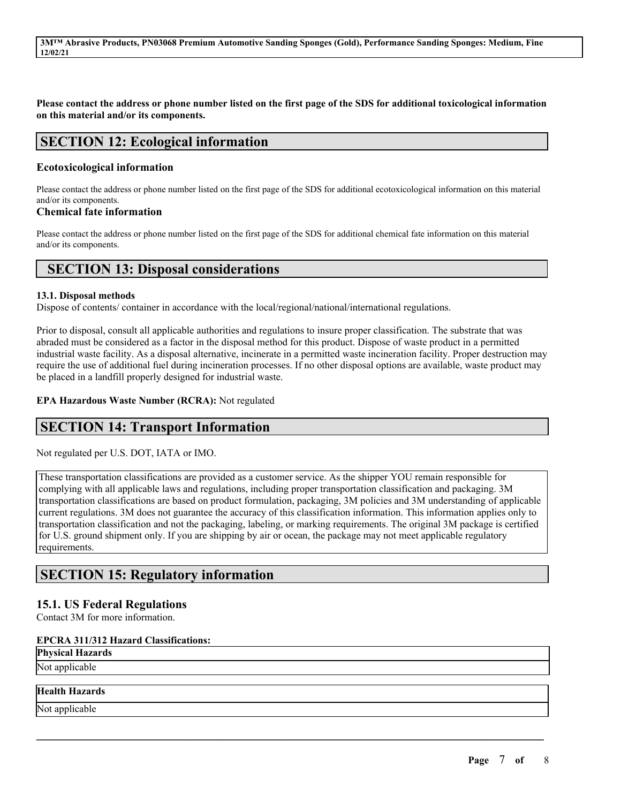Please contact the address or phone number listed on the first page of the SDS for additional toxicological information **on this material and/or its components.**

## **SECTION 12: Ecological information**

## **Ecotoxicological information**

Please contact the address or phone number listed on the first page of the SDS for additional ecotoxicological information on this material and/or its components.

### **Chemical fate information**

Please contact the address or phone number listed on the first page of the SDS for additional chemical fate information on this material and/or its components.

## **SECTION 13: Disposal considerations**

### **13.1. Disposal methods**

Dispose of contents/ container in accordance with the local/regional/national/international regulations.

Prior to disposal, consult all applicable authorities and regulations to insure proper classification. The substrate that was abraded must be considered as a factor in the disposal method for this product. Dispose of waste product in a permitted industrial waste facility. As a disposal alternative, incinerate in a permitted waste incineration facility. Proper destruction may require the use of additional fuel during incineration processes. If no other disposal options are available, waste product may be placed in a landfill properly designed for industrial waste.

### **EPA Hazardous Waste Number (RCRA):** Not regulated

## **SECTION 14: Transport Information**

Not regulated per U.S. DOT, IATA or IMO.

These transportation classifications are provided as a customer service. As the shipper YOU remain responsible for complying with all applicable laws and regulations, including proper transportation classification and packaging. 3M transportation classifications are based on product formulation, packaging, 3M policies and 3M understanding of applicable current regulations. 3M does not guarantee the accuracy of this classification information. This information applies only to transportation classification and not the packaging, labeling, or marking requirements. The original 3M package is certified for U.S. ground shipment only. If you are shipping by air or ocean, the package may not meet applicable regulatory requirements.

 $\mathcal{L}_\mathcal{L} = \mathcal{L}_\mathcal{L} = \mathcal{L}_\mathcal{L} = \mathcal{L}_\mathcal{L} = \mathcal{L}_\mathcal{L} = \mathcal{L}_\mathcal{L} = \mathcal{L}_\mathcal{L} = \mathcal{L}_\mathcal{L} = \mathcal{L}_\mathcal{L} = \mathcal{L}_\mathcal{L} = \mathcal{L}_\mathcal{L} = \mathcal{L}_\mathcal{L} = \mathcal{L}_\mathcal{L} = \mathcal{L}_\mathcal{L} = \mathcal{L}_\mathcal{L} = \mathcal{L}_\mathcal{L} = \mathcal{L}_\mathcal{L}$ 

## **SECTION 15: Regulatory information**

## **15.1. US Federal Regulations**

Contact 3M for more information.

## **EPCRA 311/312 Hazard Classifications:**

**Physical Hazards**

Not applicable

## **Health Hazards**

Not applicable